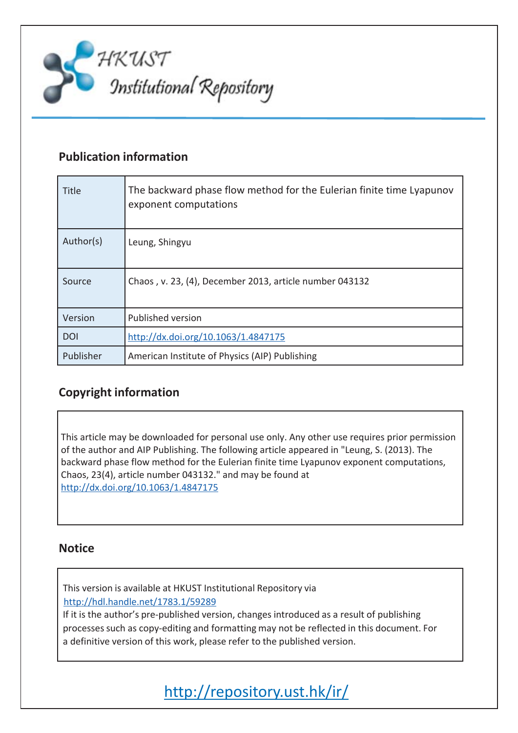

# **Publication information**

| <b>Title</b> | The backward phase flow method for the Eulerian finite time Lyapunov<br>exponent computations |
|--------------|-----------------------------------------------------------------------------------------------|
| Author(s)    | Leung, Shingyu                                                                                |
| Source       | Chaos, v. 23, (4), December 2013, article number 043132                                       |
| Version      | Published version                                                                             |
| <b>DOI</b>   | http://dx.doi.org/10.1063/1.4847175                                                           |
| Publisher    | American Institute of Physics (AIP) Publishing                                                |

# **Copyright information**

This article may be downloaded for personal use only. Any other use requires prior permission of the author and AIP Publishing. The following article appeared in "Leung, S. (2013). The backward phase flow method for the Eulerian finite time Lyapunov exponent computations, Chaos, 23(4), article number 043132." and may be found at http://dx.doi.org/10.1063/1.4847175

# **Notice**

This version is available at HKUST Institutional Repository via http://hdl.handle.net/1783.1/59289

If it is the author's pre-published version, changes introduced as a result of publishing processes such as copy-editing and formatting may not be reflected in this document. For a definitive version of this work, please refer to the published version.

http://repository.ust.hk/ir/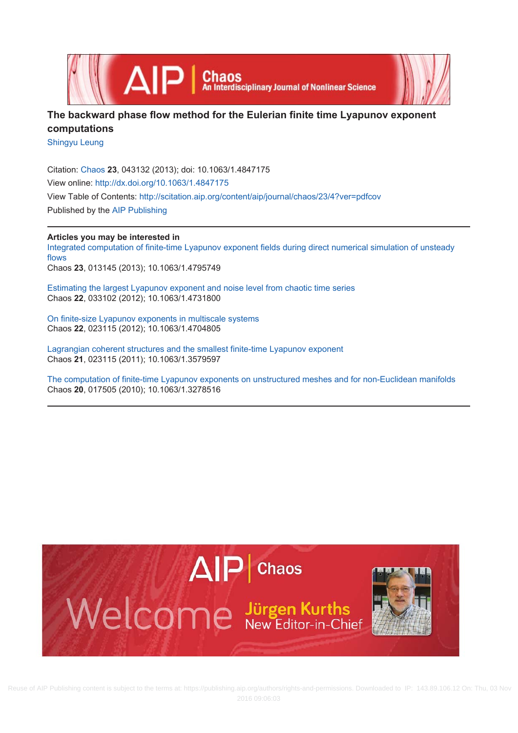

# The backward phase flow method for the Eulerian finite time Lyapunov exponent computations

Shingyu Leung

Citation: Chaos 23, 043132 (2013); doi: 10.1063/1.4847175 View online: http://dx.doi.org/10.1063/1.4847175 View Table of Contents: http://scitation.aip.org/content/aip/journal/chaos/23/4?ver=pdfcov Published by the AIP Publishing

# Articles you may be interested in

Integrated computation of finite-time Lyapunov exponent fields during direct numerical simulation of unsteady flows Chaos 23, 013145 (2013); 10.1063/1.4795749

Estimating the largest Lyapunov exponent and noise level from chaotic time series Chaos 22, 033102 (2012); 10.1063/1.4731800

On finite-size Lyapunov exponents in multiscale systems Chaos 22, 023115 (2012); 10.1063/1.4704805

Lagrangian coherent structures and the smallest finite-time Lyapunov exponent Chaos 21, 023115 (2011); 10.1063/1.3579597

The computation of finite-time Lyapunov exponents on unstructured meshes and for non-Euclidean manifolds Chaos 20, 017505 (2010); 10.1063/1.3278516

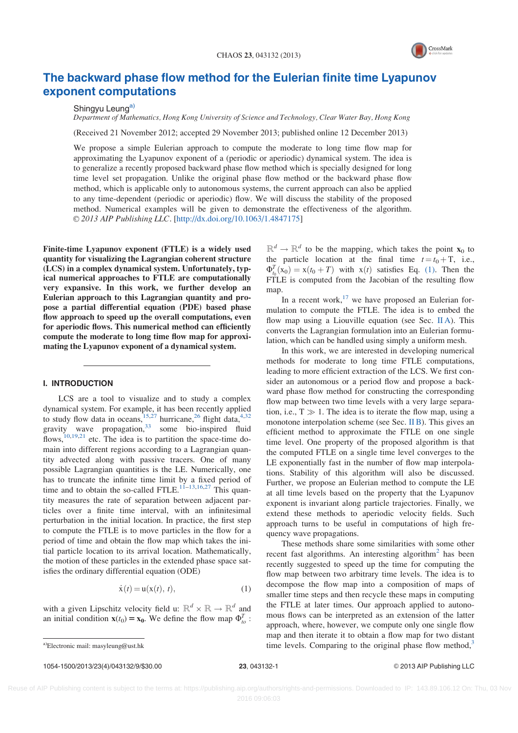

# The backward phase flow method for the Eulerian finite time Lyapunov exponent computations

Sningyu Leung<sup>--,</sup><br>Department of Mathematics, Hong Kong University of Science and Technology, Clear Water Bay, Hong Kong

(Received 21 November 2012; accepted 29 November 2013; published online 12 December 2013)

We propose a simple Eulerian approach to compute the moderate to long time flow map for approximating the Lyapunov exponent of a (periodic or aperiodic) dynamical system. The idea is to generalize a recently proposed backward phase flow method which is specially designed for long time level set propagation. Unlike the original phase flow method or the backward phase flow method, which is applicable only to autonomous systems, the current approach can also be applied to any time-dependent (periodic or aperiodic) flow. We will discuss the stability of the proposed method. Numerical examples will be given to demonstrate the effectiveness of the algorithm. © 2013 AIP Publishing LLC. [http://dx.doi.org/10.1063/1.4847175]

Finite-time Lyapunov exponent (FTLE) is a widely used quantity for visualizing the Lagrangian coherent structure (LCS) in a complex dynamical system. Unfortunately, typical numerical approaches to FTLE are computationally very expansive. In this work, we further develop an Eulerian approach to this Lagrangian quantity and propose a partial differential equation (PDE) based phase flow approach to speed up the overall computations, even for aperiodic flows. This numerical method can efficiently compute the moderate to long time flow map for approximating the Lyapunov exponent of a dynamical system.

#### I. INTRODUCTION

LCS are a tool to visualize and to study a complex dynamical system. For example, it has been recently applied to study flow data in oceans,  $15,27$  hurricane,  $26$  flight data,  $4,32$ gravity wave propagation,<sup>33</sup> some bio-inspired fluid flows,  $^{10,19,21}$  etc. The idea is to partition the space-time domain into different regions according to a Lagrangian quantity advected along with passive tracers. One of many possible Lagrangian quantities is the LE. Numerically, one has to truncate the infinite time limit by a fixed period of time and to obtain the so-called FTLE.<sup>11–13,16,27</sup> This quantity measures the rate of separation between adjacent particles over a finite time interval, with an infinitesimal perturbation in the initial location. In practice, the first step to compute the FTLE is to move particles in the flow for a period of time and obtain the flow map which takes the initial particle location to its arrival location. Mathematically, the motion of these particles in the extended phase space satisfies the ordinary differential equation (ODE)

$$
\dot{\mathbf{x}}(t) = \mathbf{u}(\mathbf{x}(t), t),\tag{1}
$$

with a given Lipschitz velocity field u:  $\mathbb{R}^d \times \mathbb{R} \to \mathbb{R}^d$  and an initial condition  $\mathbf{x}(t_0) = \mathbf{x}_0$ . We define the flow man  $\Phi^T$ . an initial condition  $\mathbf{x}(t_0) = \mathbf{x}_0$ . We define the flow map  $\Phi_{to}^T$ :

1054-1500/2013/23(4)/043132/9/\$30.00 23, 043132-1 2012 23, 043132-1 23, 043132-1

Reuse of AIP Publishing content is subject to the terms at: https://publishing.aip.org/authors/rights-and-permissions. Downloaded to IP: 143.89.106.12 On: Thu, 03 Nov

 $\mathbb{R}^d \to \mathbb{R}^d$  to be the mapping, which takes the point  $\mathbf{x}_0$  to the particle location at the final time  $t = t_0 + T$ , i.e.,  $\Phi_{t_0}^T(x_0) = x(t_0 + T)$  with  $x(t)$  satisfies Eq. (1). Then the FTLE is computed from the Jacobian of the resulting flow map.

In a recent work, $17$  we have proposed an Eulerian formulation to compute the FTLE. The idea is to embed the flow map using a Liouville equation (see Sec. II A). This converts the Lagrangian formulation into an Eulerian formulation, which can be handled using simply a uniform mesh.

In this work, we are interested in developing numerical methods for moderate to long time FTLE computations, leading to more efficient extraction of the LCS. We first consider an autonomous or a period flow and propose a backward phase flow method for constructing the corresponding flow map between two time levels with a very large separation, i.e.,  $T \gg 1$ . The idea is to iterate the flow map, using a monotone interpolation scheme (see Sec. II B). This gives an efficient method to approximate the FTLE on one single time level. One property of the proposed algorithm is that the computed FTLE on a single time level converges to the LE exponentially fast in the number of flow map interpolations. Stability of this algorithm will also be discussed. Further, we propose an Eulerian method to compute the LE at all time levels based on the property that the Lyapunov exponent is invariant along particle trajectories. Finally, we extend these methods to aperiodic velocity fields. Such approach turns to be useful in computations of high frequency wave propagations.

These methods share some similarities with some other recent fast algorithms. An interesting algorithm<sup>2</sup> has been recently suggested to speed up the time for computing the flow map between two arbitrary time levels. The idea is to decompose the flow map into a composition of maps of smaller time steps and then recycle these maps in computing the FTLE at later times. Our approach applied to autonomous flows can be interpreted as an extension of the latter approach, where, however, we compute only one single flow map and then iterate it to obtain a flow map for two distant a) Electronic mail: masyleung@ust.hk  $\qquad \qquad \text{time levels. Comparing to the original phase flow method,}$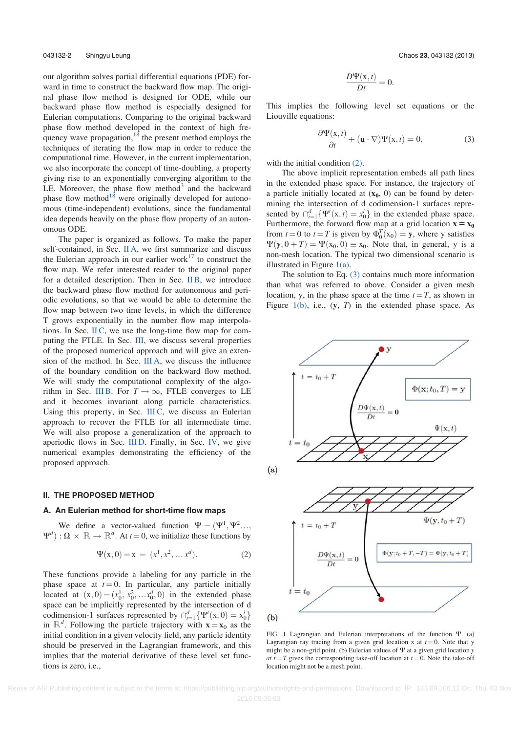our algorithm solves partial differential equations (PDE) forward in time to construct the backward flow map. The original phase flow method is designed for ODE, while our backward phase flow method is especially designed for Eulerian computations. Comparing to the original backward phase flow method developed in the context of high frequency wave propagation, $18$  the present method employs the techniques of iterating the flow map in order to reduce the computational time. However, in the current implementation, we also incorporate the concept of time-doubling, a property giving rise to an exponentially converging algorithm to the LE. Moreover, the phase flow method<sup>3</sup> and the backward phase flow method<sup>18</sup> were originally developed for autonomous (time-independent) evolutions, since the fundamental idea depends heavily on the phase flow property of an autonomous ODE.

The paper is organized as follows. To make the paper self-contained, in Sec. II A, we first summarize and discuss the Eulerian approach in our earlier work $17$  to construct the flow map. We refer interested reader to the original paper for a detailed description. Then in Sec. II B, we introduce the backward phase flow method for autonomous and periodic evolutions, so that we would be able to determine the flow map between two time levels, in which the difference T grows exponentially in the number flow map interpolations. In Sec.  $\text{HC}$ , we use the long-time flow map for computing the FTLE. In Sec. III, we discuss several properties of the proposed numerical approach and will give an extension of the method. In Sec. III A, we discuss the influence of the boundary condition on the backward flow method. We will study the computational complexity of the algorithm in Sec. III B. For  $T \rightarrow \infty$ , FTLE converges to LE and it becomes invariant along particle characteristics. Using this property, in Sec. III C, we discuss an Eulerian approach to recover the FTLE for all intermediate time. We will also propose a generalization of the approach to aperiodic flows in Sec. III D. Finally, in Sec. IV, we give numerical examples demonstrating the efficiency of the proposed approach.

#### II. THE PROPOSED METHOD

#### A. An Eulerian method for short-time flow maps

We define a vector-valued function  $\Psi = (\Psi^1, \Psi^2, \dots, \Omega) \times \mathbb{R} \to \mathbb{R}^d$  At  $t = 0$  we initialize these functions by  $\Psi^d$  :  $\Omega \times \mathbb{R} \to \mathbb{R}^d$ . At  $t = 0$ , we initialize these functions by

$$
\Psi(x,0) = x = (x^1, x^2, \dots x^d). \tag{2}
$$

These functions provide a labeling for any particle in the phase space at  $t = 0$ . In particular, any particle initially located at  $(x, 0) = (x_0^1, x_0^2, \ldots, x_0^d, 0)$  in the extended phase<br>space can be implicitly represented by the intersection of d space can be implicitly represented by the intersection of d codimension-1 surfaces represented by  $\bigcap_{i=1}^d {\Psi^i(\mathbf{x},0)} = \mathbf{x}_i^d$ <br>in  $\mathbb{R}^d$ . Following the particle trajectory with  $\mathbf{x} - \mathbf{x}_0$  as the commension-1 surfaces represented by  $\prod_{i=1}^{n} \prod_{i=1}^{n} \alpha_i$ ,  $\alpha_j = \alpha_0 f$ <br>in  $\mathbb{R}^d$ . Following the particle trajectory with  $\mathbf{x} = \mathbf{x}_0$  as the initial condition in a given velocity field, any particle identity should be preserved in the Lagrangian framework, and this implies that the material derivative of these level set functions is zero, i.e.,

$$
\frac{D\Psi(\mathbf{x},t)}{Dt} = 0.
$$

This implies the following level set equations or the Liouville equations:

$$
\frac{\partial \Psi(\mathbf{x},t)}{\partial t} + (\mathbf{u} \cdot \nabla) \Psi(\mathbf{x},t) = 0,\tag{3}
$$

with the initial condition  $(2)$ .

The above implicit representation embeds all path lines in the extended phase space. For instance, the trajectory of a particle initially located at  $(x_0, 0)$  can be found by determining the intersection of d codimension-1 surfaces represented by  $\bigcap_{i=1}^d {\Psi}^i(x,t) = x_0^i$  in the extended phase space.<br>Furthermore the forward flow man at a grid location  $\mathbf{x} = \mathbf{y}_0$ . Furthermore, the forward flow map at a grid location  $x = x_0$ from  $t = 0$  to  $t = T$  is given by  $\Phi_0^T(x_0) = y$ , where y satisfies  $\Psi(x_0 \wedge \pm T) - \Psi(x_0 \wedge \pm T) = y_0$ . Note that in general y is a  $\Psi(y, 0 + T) = \Psi(x_0, 0) \equiv x_0$ . Note that, in general, y is a non-mesh location. The typical two dimensional scenario is illustrated in Figure 1(a).

The solution to Eq. (3) contains much more information than what was referred to above. Consider a given mesh location, y, in the phase space at the time  $t = T$ , as shown in Figure 1(b), i.e.,  $(v, T)$  in the extended phase space. As



FIG. 1. Lagrangian and Eulerian interpretations of the function W. (a) Lagrangian ray tracing from a given grid location x at  $t = 0$ . Note that y might be a non-grid point. (b) Eulerian values of  $\Psi$  at a given grid location y at  $t = T$  gives the corresponding take-off location at  $t = 0$ . Note the take-off location might not be a mesh point.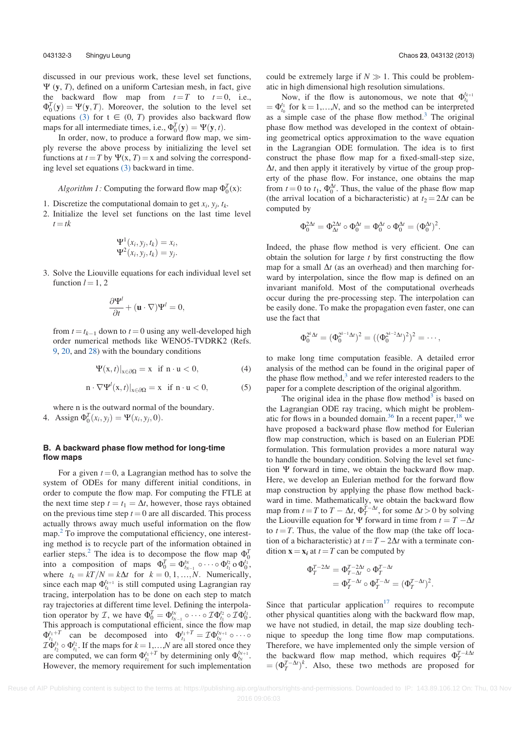discussed in our previous work, these level set functions,  $\Psi$  (y, T), defined on a uniform Cartesian mesh, in fact, give the backward flow map from  $t = T$  to  $t = 0$ , i.e.,  $\Phi_0^T(y) = \Psi(y, T)$ . Moreover, the solution to the level set equations (3) for  $t \in (0, T)$  provides also backward flow equations (3) for  $t \in (0, T)$  provides also backward flow maps for all intermediate times, i.e.,  $\Phi_0^T(y) = \Psi(y, t)$ .<br>In order, now, to produce a forward flow map, y

In order, now, to produce a forward flow map, we simply reverse the above process by initializing the level set functions at  $t = T$  by  $\Psi(x, T) = x$  and solving the corresponding level set equations (3) backward in time.

Algorithm 1: Computing the forward flow map  $\Phi_0^T(x)$ :

- 1. Discretize the computational domain to get  $x_i$ ,  $y_i$ ,  $t_k$ .
- 2. Initialize the level set functions on the last time level  $t = tk$

$$
\Psi^1(x_i, y_j, t_k) = x_i,
$$
  

$$
\Psi^2(x_i, y_j, t_k) = y_j.
$$

3. Solve the Liouville equations for each individual level set function  $l = 1, 2$ 

$$
\frac{\partial \Psi^l}{\partial t} + (\mathbf{u} \cdot \nabla) \Psi^l = 0,
$$

from  $t = t_{k-1}$  down to  $t = 0$  using any well-developed high order numerical methods like WENO5-TVDRK2 (Refs. 9, 20, and 28) with the boundary conditions

$$
\Psi(x,t)|_{x\in\partial\Omega} = x \quad \text{if } n \cdot u < 0,\tag{4}
$$

$$
\mathbf{n} \cdot \nabla \Psi^l(\mathbf{x}, t)|_{\mathbf{x} \in \partial \Omega} = \mathbf{x} \quad \text{if } \mathbf{n} \cdot \mathbf{u} < 0,\tag{5}
$$

where n is the outward normal of the boundary. 4. Assign  $\Phi_0^T(x_i, y_j) = \Psi(x_i, y_j, 0)$ .

## B. A backward phase flow method for long-time flow maps

For a given  $t = 0$ , a Lagrangian method has to solve the system of ODEs for many different initial conditions, in order to compute the flow map. For computing the FTLE at the next time step  $t = t_1 = \Delta t$ , however, those rays obtained on the previous time step  $t = 0$  are all discarded. This process actually throws away much useful information on the flow map.<sup>2</sup> To improve the computational efficiency, one interesting method is to recycle part of the information obtained in earlier steps.<sup>2</sup> The idea is to decompose the flow map  $\Phi_0^T$ into a composition of maps  $\Phi_0^T = \Phi_{t_{N-1}}^{t_N} \circ \cdots \circ \Phi_{t_1}^{t_2} \circ \Phi_0^{t_1}$ <br>where  $t_1 = kT/N = k\Lambda t$  for  $k = 0, 1, \ldots, N$  Numerically where  $t_k = kT/N = k\Delta t$  for  $k = 0, 1, ..., N$ . Numerically, since each map  $\Phi_{t_k}^{t_{k+1}}$  is still computed using Lagrangian ray tracing, interpolation has to be done on each step to match ray trajectories at different time level. Defining the interpolation operator by  $\mathcal{I}$ , we have  $\Phi_0^T = \Phi_{t_N-1}^{t_N} \circ \cdots \circ \mathcal{I} \Phi_{t_1}^{t_2} \circ \mathcal{I} \Phi_0^{t_1}$ .<br>This approach is computational efficient, since the flow map This approach is computational efficient, since the flow map  $\Phi_{t_1}^{t_1+T}$  can be decomposed into  $\Phi_{t_1}^{t_1+T} = \mathcal{I} \Phi_{t_N}^{t_{N+1}} \circ \cdots \circ$  $\mathcal{I} \Phi_{t_1}^{t_3} \circ \Phi_{t_1}^{t_2}$ . If the maps for  $k = 1,...,N$  are all stored once they are computed, we can form  $\Phi_{t_1}^{t_1+T}$  by determining only  $\Phi_{t_1}^{t_1+1}$ However, the memory requirement for such implementation could be extremely large if  $N \gg 1$ . This could be problematic in high dimensional high resolution simulations.

Now, if the flow is autonomous, we note that  $\Phi_{t_k}^{t_{k+1}}$  $\Phi_{t_0}^{t_1}$  for  $k = 1,...,N$ , and so the method can be interpreted<br>as a simple case of the phase flow method <sup>3</sup>. The original as a simple case of the phase flow method. $3$  The original phase flow method was developed in the context of obtaining geometrical optics approximation to the wave equation in the Lagrangian ODE formulation. The idea is to first construct the phase flow map for a fixed-small-step size,  $\Delta t$ , and then apply it iteratively by virtue of the group property of the phase flow. For instance, one obtains the map from  $t = 0$  to  $t_1$ ,  $\Phi_0^{\Delta t}$ . Thus, the value of the phase flow map<br>(the arrival location of a bicharacteristic) at  $t_2 = 2\Delta t$  can be (the arrival location of a bicharacteristic) at  $t_2 = 2\Delta t$  can be computed by

$$
\Phi_0^{2\Delta t} = \Phi_{\Delta t}^{2\Delta t} \circ \Phi_0^{\Delta t} = \Phi_0^{\Delta t} \circ \Phi_0^{\Delta t} = (\Phi_0^{\Delta t})^2.
$$

Indeed, the phase flow method is very efficient. One can obtain the solution for large  $t$  by first constructing the flow map for a small  $\Delta t$  (as an overhead) and then marching forward by interpolation, since the flow map is defined on an invariant manifold. Most of the computational overheads occur during the pre-processing step. The interpolation can be easily done. To make the propagation even faster, one can use the fact that

$$
\Phi_0^{2^k \Delta t} = (\Phi_0^{2^{k-1} \Delta t})^2 = ((\Phi_0^{2^{k-2} \Delta t})^2)^2 = \cdots,
$$

to make long time computation feasible. A detailed error analysis of the method can be found in the original paper of the phase flow method, $3$  and we refer interested readers to the paper for a complete description of the original algorithm.

The original idea in the phase flow method<sup>3</sup> is based on the Lagrangian ODE ray tracing, which might be problematic for flows in a bounded domain.<sup>36</sup> In a recent paper,  $18$  we have proposed a backward phase flow method for Eulerian flow map construction, which is based on an Eulerian PDE formulation. This formulation provides a more natural way to handle the boundary condition. Solving the level set function  $\Psi$  forward in time, we obtain the backward flow map. Here, we develop an Eulerian method for the forward flow map construction by applying the phase flow method backward in time. Mathematically, we obtain the backward flow map from  $t = T$  to  $T - \Delta t$ ,  $\Phi_T^{\tilde{T}-\Delta t}$ , for some  $\Delta t > 0$  by solving the Liouville equation for  $\Psi$  forward in time from  $t = T - \Delta t$ to  $t = T$ . Thus, the value of the flow map (the take off location of a bicharacteristic) at  $t = T - 2\Delta t$  with a terminate condition  $\mathbf{x} = \mathbf{x}_i$  at  $t = T$  can be computed by

$$
\Phi_T^{T-2\Delta t} = \Phi_{T-\Delta t}^{T-2\Delta t} \circ \Phi_T^{T-\Delta t}
$$
  
= 
$$
\Phi_T^{T-\Delta t} \circ \Phi_T^{T-\Delta t} = (\Phi_T^{T-\Delta t})^2.
$$

Since that particular application<sup>17</sup> requires to recompute other physical quantities along with the backward flow map, we have not studied, in detail, the map size doubling technique to speedup the long time flow map computations. Therefore, we have implemented only the simple version of the backward flow map method, which requires  $\Phi_T^{T-k\Delta t}$  $=(\Phi_T^{T-\Delta t})^k$ . Also, these two methods are proposed for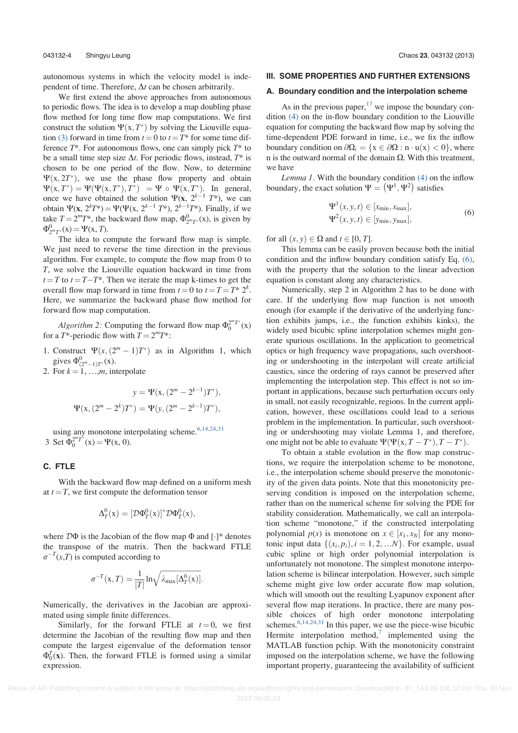autonomous systems in which the velocity model is independent of time. Therefore,  $\Delta t$  can be chosen arbitrarily.

We first extend the above approaches from autonomous to periodic flows. The idea is to develop a map doubling phase flow method for long time flow map computations. We first construct the solution  $\Psi(x, T^*)$  by solving the Liouville equation (3) forward in time from  $t = 0$  to  $t = T^*$  for some time difference  $T^*$ . For autonomous flows, one can simply pick  $T^*$  to be a small time step size  $\Delta t$ . For periodic flows, instead,  $T^*$  is chosen to be one period of the flow. Now, to determine  $\Psi(x, 2T^*)$ , we use the phase flow property and obtain  $\Psi(x, T^*) = \Psi(\Psi(x, T^*), T^*) = \Psi \circ \Psi(x, T^*)$ . In general,  $\Psi(x, T^*) = \Psi(\Psi(x, T^*), T^*) = \Psi \circ \Psi(x, T^*)$ . In general, once we have obtained the solution  $\Psi(x, 2^{k-1} T^*)$ , we can obtain  $\Psi(\mathbf{x}, 2^k T^*) = \Psi(\Psi(\mathbf{x}, 2^{k-1} T^*))$ ,  $2^{k-1} T^*)$ . Finally, if we take  $T = 2^m T^*$  the backward flow man  $\Phi^0$  (x) is given by take  $T = 2^mT^*$ , the backward flow map,  $\Phi_{2^mT^*}^0(x)$ , is given by  $\Phi_{\infty}^0(x) - \Psi(x, T)$  $\Phi_{2^m T^*}^0(x) = \Psi(x, T).$ <br>The idea to co

The idea to compute the forward flow map is simple. We just need to reverse the time direction in the previous algorithm. For example, to compute the flow map from 0 to T, we solve the Liouville equation backward in time from  $t = T$  to  $t = T - T^*$ . Then we iterate the map k-times to get the overall flow map forward in time from  $t = 0$  to  $t = T = T^* 2^k$ .<br>Here we summarize the backward phase flow method for Here, we summarize the backward phase flow method for forward flow map computation.

Algorithm 2: Computing the forward flow map  $\Phi_0^{2^m T^*}(x)$ for a  $T^*$ -periodic flow with  $T = 2^mT^*$ :

- 1. Construct  $\Psi(x, (2^m 1)T^*)$  as in Algorithm 1, which gives  $\Phi^0_{(2^m-1)T^*}(\mathbf{x})$ .<br>For  $k=1$  m in
- 2. For  $k = 1, \ldots, m$ , interpolate

$$
y = \Psi(x, (2^m - 2^{k-1})T^*),
$$
  

$$
\Psi(x, (2^m - 2^k)T^*) = \Psi(y, (2^m - 2^{k-1})T^*),
$$

using any monotone interpolating scheme.<sup>6,14,24,31</sup> 3 Set  $\Phi_0^{2^m T^*}(x) = \Psi(x, 0)$ .

# C. FTLE

With the backward flow map defined on a uniform mesh at  $t = T$ , we first compute the deformation tensor

$$
\Delta_T^0(x) = [\mathcal{D}\Phi_T^0(x)]^* \mathcal{D}\Phi_T^0(x),
$$

where  $\mathcal{D}\Phi$  is the Jacobian of the flow map  $\Phi$  and  $[\cdot]^*$  denotes the transpose of the matrix. Then the backward FTLE  $\sigma^{-T}(x,T)$  is computed according to

$$
\sigma^{-T}(\mathbf{x},T) = \frac{1}{|T|} \ln \sqrt{\lambda_{\max}[\Delta_T^0(\mathbf{x})]}.
$$

Numerically, the derivatives in the Jacobian are approximated using simple finite differences.

Similarly, for the forward FTLE at  $t = 0$ , we first determine the Jacobian of the resulting flow map and then compute the largest eigenvalue of the deformation tensor  $\Phi_0^T(\mathbf{x})$ . Then, the forward FTLE is formed using a similar expression.

# III. SOME PROPERTIES AND FURTHER EXTENSIONS

## A. Boundary condition and the interpolation scheme

As in the previous paper,  $17$  we impose the boundary condition (4) on the in-flow boundary condition to the Liouville equation for computing the backward flow map by solving the time-dependent PDE forward in time, i.e., we fix the inflow boundary condition on  $\partial\Omega_i = \{x \in \partial\Omega : n \cdot u(x) < 0\}$ , where n is the outward normal of the domain  $\Omega$ . With this treatment, we have

*Lemma 1*. With the boundary condition  $(4)$  on the inflow boundary, the exact solution  $\Psi = (\Psi^1, \Psi^2)$  satisfies

$$
\Psi^{1}(x, y, t) \in [x_{\min}, x_{\max}],
$$
  
\n
$$
\Psi^{2}(x, y, t) \in [y_{\min}, y_{\max}],
$$
\n(6)

for all  $(x, y) \in \Omega$  and  $t \in [0, T]$ .

This lemma can be easily proven because both the initial condition and the inflow boundary condition satisfy Eq. (6), with the property that the solution to the linear advection equation is constant along any characteristics.

Numerically, step 2 in Algorithm 2 has to be done with care. If the underlying flow map function is not smooth enough (for example if the derivative of the underlying function exhibits jumps, i.e., the function exhibits kinks), the widely used bicubic spline interpolation schemes might generate spurious oscillations. In the application to geometrical optics or high frequency wave propagations, such overshooting or undershooting in the interpolant will create artificial caustics, since the ordering of rays cannot be preserved after implementing the interpolation step. This effect is not so important in applications, because such perturbation occurs only in small, not easily recognizable, regions. In the current application, however, these oscillations could lead to a serious problem in the implementation. In particular, such overshooting or undershooting may violate Lemma 1, and therefore, one might not be able to evaluate  $\Psi(\Psi(x, T - T^*), T - T^*)$ .

To obtain a stable evolution in the flow map constructions, we require the interpolation scheme to be monotone, i.e., the interpolation scheme should preserve the monotonicity of the given data points. Note that this monotonicity preserving condition is imposed on the interpolation scheme, rather than on the numerical scheme for solving the PDE for stability consideration. Mathematically, we call an interpolation scheme "monotone," if the constructed interpolating polynomial  $p(x)$  is monotone on  $x \in [x_1, x_N]$  for any monotonic input data  $\{(x_i, p_i), i = 1, 2, \ldots N\}$ . For example, usual cubic spline or high order polynomial interpolation is unfortunately not monotone. The simplest monotone interpolation scheme is bilinear interpolation. However, such simple scheme might give low order accurate flow map solution, which will smooth out the resulting Lyapunov exponent after several flow map iterations. In practice, there are many possible choices of high order monotone interpolating schemes.<sup>6,14,24,31</sup> In this paper, we use the piece-wise bicubic Hermite interpolation  $inted$ , implemented using the MATLAB function pchip. With the monotonicity constraint imposed on the interpolation scheme, we have the following important property, guaranteeing the availability of sufficient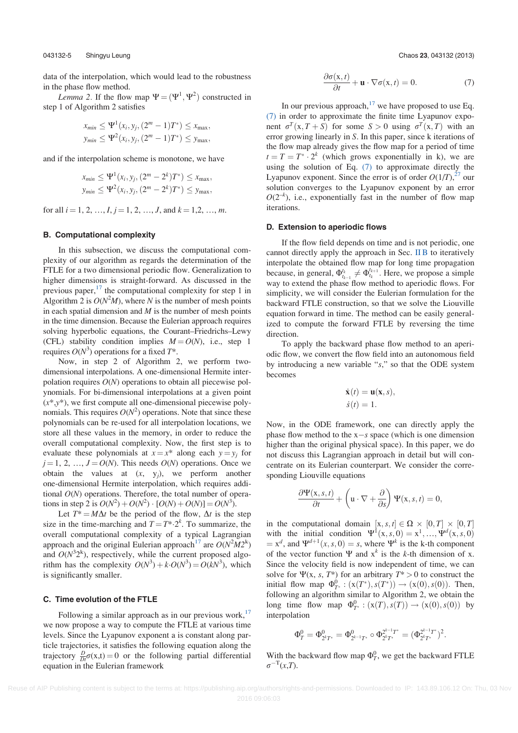# 043132-5 Shingyu Leung 2013) Shingyu Leung 2013 Shane 23, 043132 (2013)

data of the interpolation, which would lead to the robustness in the phase flow method.

*Lemma* 2. If the flow map  $\Psi = (\Psi^1, \Psi^2)$  constructed in step 1 of Algorithm 2 satisfies

$$
x_{min} \leq \Psi^1(x_i, y_j, (2^m - 1)T^*) \leq x_{max},
$$
  

$$
y_{min} \leq \Psi^2(x_i, y_j, (2^m - 1)T^*) \leq y_{max},
$$

and if the interpolation scheme is monotone, we have

$$
x_{min} \leq \Psi^1(x_i, y_j, (2^m - 2^k)T^*) \leq x_{max},
$$
  

$$
y_{min} \leq \Psi^2(x_i, y_j, (2^m - 2^k)T^*) \leq y_{max},
$$

for all  $i = 1, 2, ..., I, j = 1, 2, ..., J$ , and  $k = 1, 2, ..., m$ .

## B. Computational complexity

In this subsection, we discuss the computational complexity of our algorithm as regards the determination of the FTLE for a two dimensional periodic flow. Generalization to higher dimensions is straight-forward. As discussed in the previous paper, $^{17}$  the computational complexity for step 1 in Algorithm 2 is  $O(N^2M)$ , where N is the number of mesh points in each spatial dimension and  $M$  is the number of mesh points in the time dimension. Because the Eulerian approach requires solving hyperbolic equations, the Courant–Friedrichs–Lewy (CFL) stability condition implies  $M = O(N)$ , i.e., step 1 requires  $O(N^3)$  operations for a fixed  $T^*$ .

Now, in step 2 of Algorithm 2, we perform twodimensional interpolations. A one-dimensional Hermite interpolation requires  $O(N)$  operations to obtain all piecewise polynomials. For bi-dimensional interpolations at a given point  $(x^*,y^*)$ , we first compute all one-dimensional piecewise polynomials. This requires  $O(N^2)$  operations. Note that since these polynomials can be re-used for all interpolation locations, we store all these values in the memory, in order to reduce the overall computational complexity. Now, the first step is to evaluate these polynomials at  $x = x^*$  along each  $y = y_i$  for  $j = 1, 2, ..., J = O(N)$ . This needs  $O(N)$  operations. Once we obtain the values at  $(x, y_i)$ , we perform another one-dimensional Hermite interpolation, which requires additional  $O(N)$  operations. Therefore, the total number of operations in step 2 is  $O(N^2) + O(N^2) \cdot [O(N) + O(N)] = O(N^3)$ .<br>Let  $T^* = MAt$  be the period of the flow  $\Delta t$  is the

Let  $T^* = M\Delta t$  be the period of the flow,  $\Delta t$  is the step size in the time-marching and  $T = T^* 2^k$ . To summarize, the overall computational complexity of a typical Lagrangian overall computational complexity of a typical Lagrangian approach and the original Eulerian approach<sup>17</sup> are  $O(N^2M2^k)$ and  $O(N^3 2^k)$ , respectively, while the current proposed algorithm has the complexity  $O(N^3) + k \cdot O(N^3) = O(kN^3)$ , which<br>is significantly smaller is significantly smaller.

#### C. Time evolution of the FTLE

Following a similar approach as in our previous work, $17$ we now propose a way to compute the FTLE at various time levels. Since the Lyapunov exponent a is constant along particle trajectories, it satisfies the following equation along the trajectory  $\frac{D}{Dt}\sigma(x,t) = 0$  or the following partial differential<br>equation in the Eulerian framework equation in the Eulerian framework

$$
\frac{\partial \sigma(\mathbf{x},t)}{\partial t} + \mathbf{u} \cdot \nabla \sigma(\mathbf{x},t) = 0.
$$
 (7)

In our previous approach,<sup>17</sup> we have proposed to use Eq. (7) in order to approximate the finite time Lyapunov exponent  $\sigma^T(x, T + S)$  for some  $S > 0$  using  $\sigma^T(x, T)$  with an error growing linearly in S. In this paper, since k iterations of the flow map already gives the flow map for a period of time  $t = T = T^* \cdot 2^k$  (which grows exponentially in k), we are using the solution of Eq. (7) to approximate directly the Lyapunov exponent. Since the error is of order  $O(1/T)$ ,<sup>27</sup> our solution converges to the Lyapunov exponent by an error  $O(2^{-k})$ , i.e., exponentially fast in the number of flow map iterations.

#### D. Extension to aperiodic flows

If the flow field depends on time and is not periodic, one cannot directly apply the approach in Sec. II B to iteratively interpolate the obtained flow map for long time propagation because, in general,  $\Phi_{t_{k-1}}^{t_k} \neq \Phi_{t_{k}}^{t_{k+1}}$ . Here, we propose a simple way to extend the phase flow method to aperiodic flows. For way to extend the phase flow method to aperiodic flows. For simplicity, we will consider the Eulerian formulation for the backward FTLE construction, so that we solve the Liouville equation forward in time. The method can be easily generalized to compute the forward FTLE by reversing the time direction.

To apply the backward phase flow method to an aperiodic flow, we convert the flow field into an autonomous field by introducing a new variable "s," so that the ODE system becomes

$$
\dot{\mathbf{x}}(t) = \mathbf{u}(\mathbf{x}, s),
$$
  

$$
\dot{s}(t) = 1.
$$

Now, in the ODE framework, one can directly apply the phase flow method to the  $x-s$  space (which is one dimension higher than the original physical space). In this paper, we do not discuss this Lagrangian approach in detail but will concentrate on its Eulerian counterpart. We consider the corresponding Liouville equations

$$
\frac{\partial \Psi(x, s, t)}{\partial t} + \left(\mathbf{u} \cdot \nabla + \frac{\partial}{\partial s}\right) \Psi(x, s, t) = 0,
$$

in the computational domain  $[x, s, t] \in \Omega \times [0, T] \times [0, T]$ <br>with the initial condition  $\Psi^{\mathcal{I}}(x, s, 0) = x^1 \Psi^{\mathcal{U}}(x, s, 0)$ with the initial condition  $\Psi^{\hat{I}}(x, s, 0) = x^1, ..., \Psi^{\hat{d}}(x, s, 0)$ <br>  $\psi^{\hat{I}}(x, s, 0) = x^{\hat{I}}(x, s, 0)$ =  $x^d$ , and  $\Psi^{d+1}(x, s, 0) = s$ , where  $\Psi^k$  is the k-th component of the vector function  $\Psi$  and  $x^k$  is the k-th dimension of x of the vector function  $\Psi$  and  $x^k$  is the k-th dimension of x. Since the velocity field is now independent of time, we can solve for  $\Psi(x, s, T^*)$  for an arbitrary  $T^* > 0$  to construct the initial flow map  $\Phi_{T^*}^0 : (x(T^*), s(T^*)) \to (x(0), s(0))$ . Then,<br>following an algorithm similar to Algorithm 2, we obtain the following an algorithm similar to Algorithm 2, we obtain the long time flow map  $\Phi_{T^*}^0 : (x(T), s(T)) \to (x(0), s(0))$  by interpolation

$$
\Phi_T^0 = \Phi_{2^k T^*}^0 = \Phi_{2^{k-1} T^*}^0 \circ \Phi_{2^k T^*}^{2^{k-1} T^*} = (\Phi_{2^k T^*}^{2^{k-1} T^*})^2.
$$

With the backward flow map  $\Phi_T^0$ , we get the backward FTLE  $\sigma^{-T}(x,T)$ .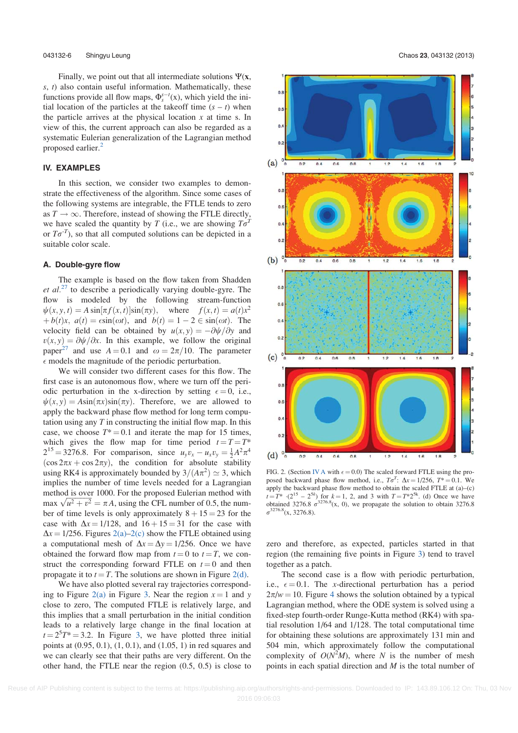Finally, we point out that all intermediate solutions  $\Psi(x)$ ,  $s, t$ ) also contain useful information. Mathematically, these functions provide all flow maps,  $\Phi_s^{s-t}(x)$ , which yield the initial location of the particles at the takeoff time  $(s - t)$  when the particle arrives at the physical location  $x$  at time s. In view of this, the current approach can also be regarded as a systematic Eulerian generalization of the Lagrangian method proposed earlier.<sup>2</sup>

## IV. EXAMPLES

In this section, we consider two examples to demonstrate the effectiveness of the algorithm. Since some cases of the following systems are integrable, the FTLE tends to zero as  $T \rightarrow \infty$ . Therefore, instead of showing the FTLE directly, we have scaled the quantity by T (i.e., we are showing  $T\sigma^T$ or  $T\sigma^{-T}$ ), so that all computed solutions can be depicted in a suitable color scale.

## A. Double-gyre flow

The example is based on the flow taken from Shadden et  $al^{27}$  to describe a periodically varying double-gyre. The flow is modeled by the following stream-function  $\psi(x, y, t) = A \sin[\pi f(x, t)] \sin(\pi y)$ , where  $f(x, t) = a(t)x^2$  $b(t)x$ ,  $a(t) = \epsilon \sin(\omega t)$ , and  $b(t) = 1 - 2 \in \sin(\omega t)$ . The velocity field can be obtained by  $u(x, y) = -\partial u/\partial y$  and velocity field can be obtained by  $u(x, y) = -\partial \psi / \partial y$  and  $v(x, y) = \frac{\partial \psi}{\partial x}$ . In this example, we follow the original paper<sup>27</sup> and use  $A = 0.1$  and  $\omega = 2\pi/10$ . The parameter  $\epsilon$  models the magnitude of the periodic perturbation.

We will consider two different cases for this flow. The first case is an autonomous flow, where we turn off the periodic perturbation in the x-direction by setting  $\epsilon = 0$ , i.e.,<br> $y/(x, y) = A \sin(\pi x) \sin(\pi y)$ . Therefore, we are allowed to  $\psi(x, y) = A\sin(\pi x)\sin(\pi y)$ . Therefore, we are allowed to apply the backward phase flow method for long term computation using any  $T$  in constructing the initial flow map. In this case, we choose  $T^* = 0.1$  and iterate the map for 15 times, which gives the flow map for time period  $t = T = T^*$  $2^{15} = 3276.8$ . For comparison, since  $u_y v_x - u_x v_y = \frac{1}{2} A^2 \pi^4$ <br>(cos  $2 \pi x + \cos 2 \pi y$ ), the condition for absolute stability  $(\cos 2\pi x + \cos 2\pi y)$ , the condition for absolute stability using RK4 is approximately bounded by  $3/(A\pi^2) \simeq 3$ , which implies the number of time levels needed for a Lagrangian method is over 1000. For the proposed Eulerian method with max  $\sqrt{u^2 + v^2} = \pi A$ , using the CFL number of 0.5, the num-<br>her of time levels is only approximately  $8 + 15 = 23$  for the ber of time levels is only approximately  $8 + 15 = 23$  for the case with  $\Delta x = 1/128$ , and  $16 + 15 = 31$  for the case with  $\Delta x = 1/256$ . Figures 2(a)–2(c) show the FTLE obtained using a computational mesh of  $\Delta x = \Delta y = 1/256$ . Once we have obtained the forward flow map from  $t = 0$  to  $t = T$ , we construct the corresponding forward FTLE on  $t = 0$  and then propagate it to  $t = T$ . The solutions are shown in Figure 2(d).

We have also plotted several ray trajectories corresponding to Figure 2(a) in Figure 3. Near the region  $x = 1$  and y close to zero, The computed FTLE is relatively large, and this implies that a small perturbation in the initial condition leads to a relatively large change in the final location at  $t = 2^5 T^* = 3.2$ . In Figure 3, we have plotted three initial points at (0.95, 0.1) (1.0.1) and (1.05, 1) in red squares and points at (0.95, 0.1), (1, 0.1), and (1.05, 1) in red squares and we can clearly see that their paths are very different. On the other hand, the FTLE near the region (0.5, 0.5) is close to



FIG. 2. (Section IV A with  $\epsilon = 0.0$ ) The scaled forward FTLE using the pro-<br>nosed backward phase flow method i.e.  $T\sigma^T$ ,  $\Delta x = 1/256$ ,  $T^* = 0.1$  We posed backward phase flow method, i.e.,  $T\sigma^T$ :  $\Delta x = 1/256$ ,  $T^* = 0.1$ . We apply the backward phase flow method to obtain the scaled ETI E at (a)–(c) apply the backward phase flow method to obtain the scaled FTLE at (a)–(c)  $t = T^* \cdot (2^{15} - 2^{5k})$  for  $k = 1, 2$ , and 3 with  $T = T^* 2^{5k}$ . (d) Once we have<br>obtained 3276.8  $\sigma^{3276.8}$ (x, 0) we propagate the solution to obtain 3276.8 obtained 3276.8  $\sigma^{3276.8}(x, 0)$ , we propagate the solution to obtain 3276.8  $\sigma^{3276.8}(x, 3276.8).$ 

zero and therefore, as expected, particles started in that region (the remaining five points in Figure 3) tend to travel together as a patch.

The second case is a flow with periodic perturbation, i.e.,  $\epsilon = 0.1$ . The x-directional perturbation has a period  $2\pi/\omega = 10$ . Figure 4 shows the solution obtained by a typical  $2\pi/w = 10$ . Figure 4 shows the solution obtained by a typical Lagrangian method, where the ODE system is solved using a fixed-step fourth-order Runge-Kutta method (RK4) with spatial resolution 1/64 and 1/128. The total computational time for obtaining these solutions are approximately 131 min and 504 min, which approximately follow the computational complexity of  $O(N^2M)$ , where N is the number of mesh points in each spatial direction and M is the total number of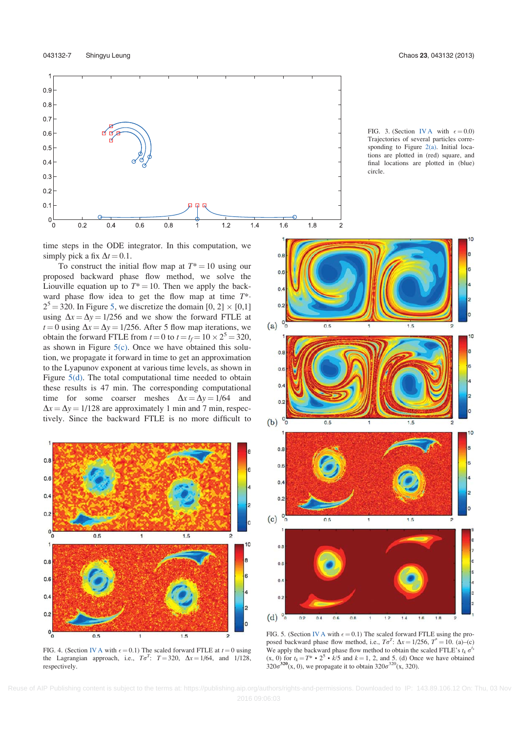



time steps in the ODE integrator. In this computation, we simply pick a fix  $\Delta t = 0.1$ .

To construct the initial flow map at  $T^* = 10$  using our proposed backward phase flow method, we solve the Liouville equation up to  $T^* = 10$ . Then we apply the backward phase flow idea to get the flow map at time  $T^*$ .  $2^5 = 320$ . In Figure 5, we discretize the domain  $[0, 2] \times [0,1]$ <br>using  $\Delta x = \Delta y = 1/256$  and we show the forward ETI E at using  $\Delta x = \Delta y = 1/256$  and we show the forward FTLE at  $t = 0$  using  $\Delta x = \Delta y = 1/256$ . After 5 flow map iterations, we obtain the forward FTLE from  $t = 0$  to  $t = t_f = 10 \times 2^5 = 320$ ,<br>as shown in Figure 5(c). Once we have obtained this soluas shown in Figure  $5(c)$ . Once we have obtained this solution, we propagate it forward in time to get an approximation to the Lyapunov exponent at various time levels, as shown in Figure 5(d). The total computational time needed to obtain these results is 47 min. The corresponding computational time for some coarser meshes  $\Delta x = \Delta y = 1/64$  and  $\Delta x = \Delta y = 1/128$  are approximately 1 min and 7 min, respectively. Since the backward FTLE is no more difficult to



FIG. 4. (Section IV A with  $\epsilon = 0.1$ ) The scaled forward FTLE at  $t = 0$  using<br>the Lagrangian approach, i.e.,  $T\sigma^T$ :  $T = 320$ ,  $\Delta x = 1/64$ , and 1/128,<br>respectively respectively.



FIG. 5. (Section IV A with  $\epsilon = 0.1$ ) The scaled forward FTLE using the pro-<br>nosed backward phase flow method i.e.  $T\sigma^T$ ,  $\Delta x = 1/256$ ,  $T^* = 10$ , (a)–(c) posed backward phase flow method, i.e.,  $T\sigma^T$ :  $\Delta x = 1/256$ ,  $T^* = 10$ . (a)–(c)<br>We apply the backward phase flow method to obtain the scaled ETI F's t.  $\sigma^0$ We apply the backward phase flow method to obtain the scaled FTLE's  $t_k \sigma^{t_k}$  $(x, 0)$  for  $t_k = T^* \cdot 2^5 \cdot k/5$  and  $k = 1, 2$ , and 5. (d) Once we have obtained  $320\sigma^{320}(x, 0)$ , we propagate it to obtain  $320\sigma^{320}(x, 320)$ .

 $0<sub>6</sub>$  $0R$ 

 $(d)$  %

Reuse of AIP Publishing content is subject to the terms at: https://publishing.aip.org/authors/rights-and-permissions. Downloaded to IP: 143.89.106.12 On: Thu, 03 Nov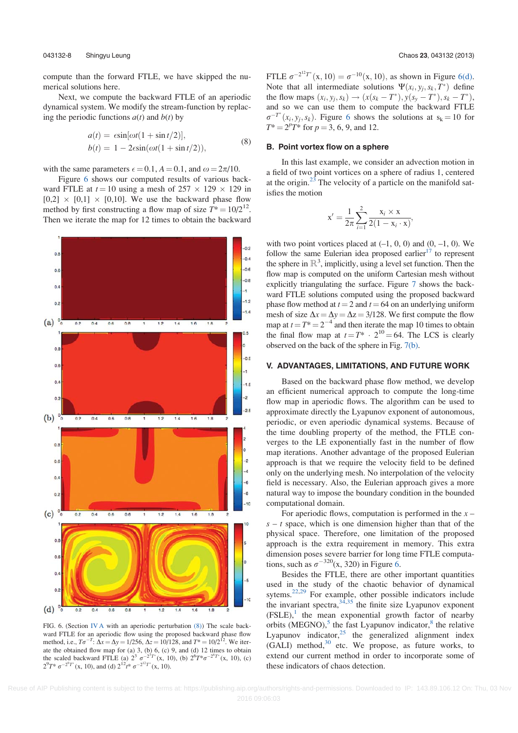compute than the forward FTLE, we have skipped the numerical solutions here.

Next, we compute the backward FTLE of an aperiodic dynamical system. We modify the stream-function by replacing the periodic functions  $a(t)$  and  $b(t)$  by

$$
a(t) = \epsilon \sin[\omega t (1 + \sin t/2)],
$$
  
\n
$$
b(t) = 1 - 2\epsilon \sin(\omega t (1 + \sin t/2)),
$$
\n(8)

with the same parameters  $\epsilon = 0.1$ ,  $A = 0.1$ , and  $\omega = 2\pi/10$ .<br>Figure 6 shows our computed results of various has

Figure 6 shows our computed results of various backward FTLE at  $t = 10$  using a mesh of  $257 \times 129 \times 129$  in<br> $10.21 \times 10.11 \times 10.101$  We use the backward phase flow  $[0,2] \times [0,1] \times [0,10]$ . We use the backward phase flow<br>method by first constructing a flow map of size  $T^* = 10/2^{12}$ method by first constructing a flow map of size  $T^* = 10/2^{12}$ . Then we iterate the map for 12 times to obtain the backward



FIG. 6. (Section IV A with an aperiodic perturbation (8)) The scale backward FTLE for an aperiodic flow using the proposed backward phase flow method, i.e.,  $T\sigma^{-T}$ :  $\Delta x = \Delta y = 1/256$ ,  $\Delta z = 10/128$ , and  $T^* = 10/2^{12}$ . We iter-<br>ate the obtained flow man for (a) 3 (b) 6 (c) 9 and (d) 12 times to obtain ate the obtained flow map for (a) 3, (b) 6, (c) 9, and (d) 12 times to obtain<br>the scaled backward FTLE (a)  $2^3 \sigma^{-2^2T^*} (x, 10)$ , (b)  $2^6T^*\sigma^{-2^6T^*} (x, 10)$ , (c)<br> $2^9T^*\sigma^{-2^9T^*} (x, 10)$ , and (d)  $2^{12}t^*\sigma^{-2^{12}T^*} (x$ 

FTLE  $\sigma^{-2^{12}T^*}(x, 10) = \sigma^{-10}(x, 10)$ , as shown in Figure 6(d).<br>Note that all intermediate solutions  $\Psi(x, y, s, T^*)$  define Note that all intermediate solutions  $\Psi(x_i, y_i, s_k, T^*)$  define the flow maps  $(x_i, y_i, s_k) \to (x(s_k - T^*), y(s_v - T^*), s_k - T^*),$ and so we can use them to compute the backward FTLE  $\sigma^{-T^*}(x_i, y_j, s_k)$ . Figure 6 shows the solutions at  $s_k = 10$  for  $T^* = 2^p T^*$  for  $n = 3, 6, 9,$  and 12  $T^* = 2^p T^*$  for  $p = 3, 6, 9$ , and 12.

## B. Point vortex flow on a sphere

In this last example, we consider an advection motion in a field of two point vortices on a sphere of radius 1, centered at the origin. $^{23}$  The velocity of a particle on the manifold satisfies the motion

$$
x' = \frac{1}{2\pi} \sum_{i=1}^{2} \frac{x_i \times x}{2(1 - x_i \cdot x)},
$$

with two point vortices placed at  $(-1, 0, 0)$  and  $(0, -1, 0)$ . We follow the same Eulerian idea proposed earlier<sup>17</sup> to represent the sphere in  $\mathbb{R}^3$ , implicitly, using a level set function. Then the flow map is computed on the uniform Cartesian mesh without explicitly triangulating the surface. Figure 7 shows the backward FTLE solutions computed using the proposed backward phase flow method at  $t = 2$  and  $t = 64$  on an underlying uniform mesh of size  $\Delta x = \Delta y = \Delta z = 3/128$ . We first compute the flow map at  $t = T^* = 2^{-4}$  and then iterate the map 10 times to obtain the final flow map at  $t = T^* \cdot 2^{10} = 64$ . The LCS is clearly observed on the back of the sphere in Fig. 7(b).

## V. ADVANTAGES, LIMITATIONS, AND FUTURE WORK

Based on the backward phase flow method, we develop an efficient numerical approach to compute the long-time flow map in aperiodic flows. The algorithm can be used to approximate directly the Lyapunov exponent of autonomous, periodic, or even aperiodic dynamical systems. Because of the time doubling property of the method, the FTLE converges to the LE exponentially fast in the number of flow map iterations. Another advantage of the proposed Eulerian approach is that we require the velocity field to be defined only on the underlying mesh. No interpolation of the velocity field is necessary. Also, the Eulerian approach gives a more natural way to impose the boundary condition in the bounded computational domain.

For aperiodic flows, computation is performed in the  $x$  $s - t$  space, which is one dimension higher than that of the physical space. Therefore, one limitation of the proposed approach is the extra requirement in memory. This extra dimension poses severe barrier for long time FTLE computations, such as  $\sigma^{-320}$ (x, 320) in Figure 6.

Besides the FTLE, there are other important quantities used in the study of the chaotic behavior of dynamical sytems.<sup>22,29</sup> For example, other possible indicators include the invariant spectra,  $34,35$  the finite size Lyapunov exponent  $(FSLE)$ , the mean exponential growth factor of nearby orbits (MEGNO), $5$  the fast Lyapunov indicator, $8$  the relative Lyapunov indicator, $25$  the generalized alignment index  $(GALI)$  method, $30$  etc. We propose, as future works, to extend our current method in order to incorporate some of these indicators of chaos detection.

Reuse of AIP Publishing content is subject to the terms at: https://publishing.aip.org/authors/rights-and-permissions. Downloaded to IP: 143.89.106.12 On: Thu, 03 Nov